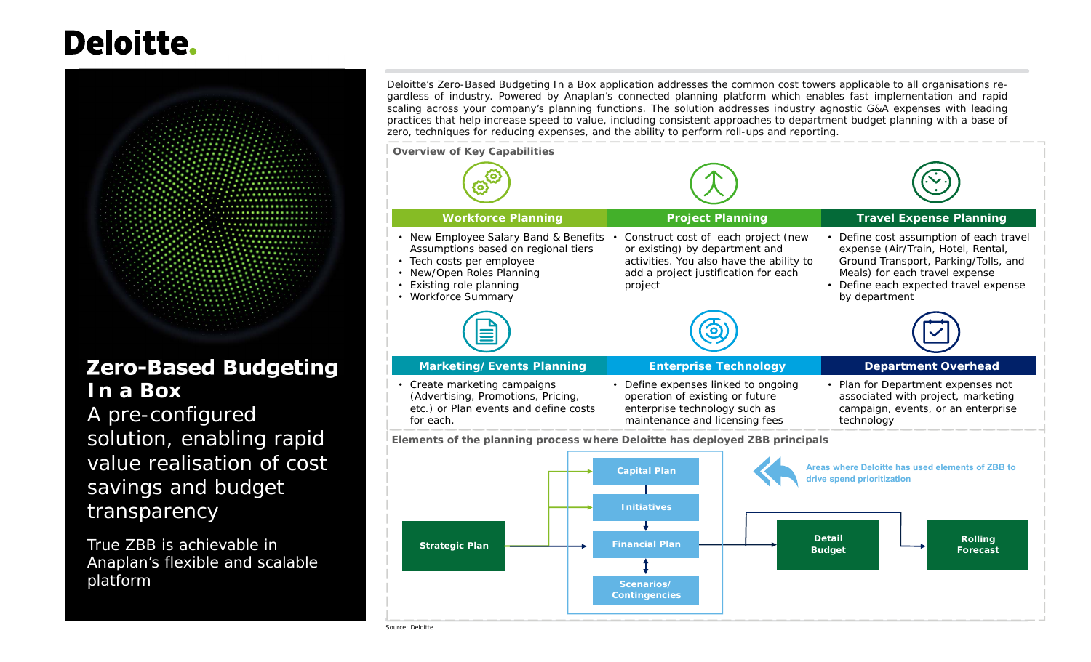# **Deloitte.**



# **Zero-Based Budgeting In a Box**

 A pre-configured solution, enabling rapid value realisation of cost savings and budget transparency

True ZBB is achievable in Anaplan's flexible and scalable platform

Deloitte's Zero-Based Budgeting In a Box application addresses the common cost towers applicable to all organisations regardless of industry. Powered by Anaplan's connected planning platform which enables fast implementation and rapid scaling across your company's planning functions. The solution addresses industry agnostic G&A expenses with leading practices that help increase speed to value, including consistent approaches to department budget planning with a base ofzero, techniques for reducing expenses, and the ability to perform roll-ups and reporting.

**Capital Plan Areas where Deloitte has used elements of ZBB to drive spend prioritization Elements of the planning process where Deloitte has deployed ZBB principals Workforce Planning Project Planning Travel Expense Planning** • New Employee Salary Band & Benefits Assumptions based on regional tiers • Tech costs per employee • New/Open Roles Planning • Existing role planning • Workforce Summary Construct cost of each project (new or existing) by department and activities. You also have the ability to add a project justification for each project • Define cost assumption of each travel expense (Air/Train, Hotel, Rental, Ground Transport, Parking/Tolls, and Meals) for each travel expense • Define each expected travel expense by department **Marketing/Events Planning Community Enterprise Technology Community Department Overhead**  Create marketing campaigns (Advertising, Promotions, Pricing, etc.) or Plan events and define costs for each.• Define expenses linked to ongoing operation of existing or future enterprise technology such as maintenance and licensing fees • Plan for Department expenses not associated with project, marketing campaign, events, or an enterprise technology **Overview of Key Capabilities**



Source: Deloitte